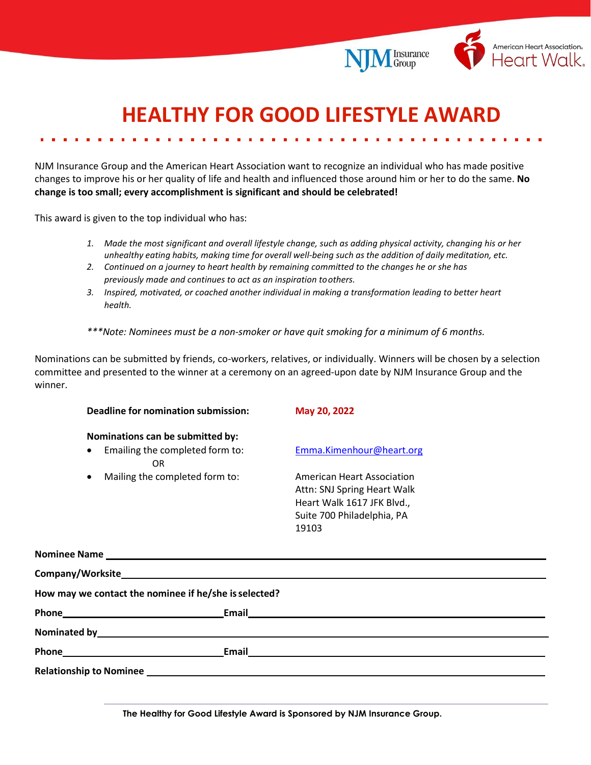

Insurance<br>Group

## **HEALTHY FOR GOOD LIFESTYLE AWARD**

NJM Insurance Group and the American Heart Association want to recognize an individual who has made positive changes to improve his or her quality of life and health and influenced those around him or her to do the same. **No change is too small; every accomplishment is significant and should be celebrated!**

This award is given to the top individual who has:

- *1. Made the most significant and overall lifestyle change, such as adding physical activity, changing his or her unhealthy eating habits, making time for overall well-being such as the addition of daily meditation, etc.*
- *2. Continued on a journey to heart health by remaining committed to the changes he or she has previously made and continues to act as an inspiration toothers.*
- *3. Inspired, motivated, or coached another individual in making a transformation leading to better heart health.*
- *\*\*\*Note: Nominees must be a non-smoker or have quit smoking for a minimum of 6 months.*

Nominations can be submitted by friends, co-workers, relatives, or individually. Winners will be chosen by a selection committee and presented to the winner at a ceremony on an agreed-upon date by NJM Insurance Group and the winner.

|                                                       | Deadline for nomination submission:                                                                                                                                                                                            | May 20, 2022                                                                                                                                                                   |
|-------------------------------------------------------|--------------------------------------------------------------------------------------------------------------------------------------------------------------------------------------------------------------------------------|--------------------------------------------------------------------------------------------------------------------------------------------------------------------------------|
|                                                       | Nominations can be submitted by:                                                                                                                                                                                               |                                                                                                                                                                                |
| $\bullet$                                             | Emailing the completed form to:<br><b>OR</b>                                                                                                                                                                                   | Emma.Kimenhour@heart.org                                                                                                                                                       |
| ٠                                                     | Mailing the completed form to:                                                                                                                                                                                                 | American Heart Association<br>Attn: SNJ Spring Heart Walk<br>Heart Walk 1617 JFK Blvd.,<br>Suite 700 Philadelphia, PA<br>19103                                                 |
|                                                       |                                                                                                                                                                                                                                |                                                                                                                                                                                |
|                                                       |                                                                                                                                                                                                                                |                                                                                                                                                                                |
| How may we contact the nominee if he/she is selected? |                                                                                                                                                                                                                                |                                                                                                                                                                                |
|                                                       |                                                                                                                                                                                                                                |                                                                                                                                                                                |
|                                                       | Nominated by the contract of the contract of the contract of the contract of the contract of the contract of the contract of the contract of the contract of the contract of the contract of the contract of the contract of t |                                                                                                                                                                                |
|                                                       |                                                                                                                                                                                                                                | Phone <b>Email Email Email Email Email Email Email Email Email Email Email Email Email Email Email Email Email Email Email Email Email Email Email Email Email Email Email</b> |
|                                                       |                                                                                                                                                                                                                                |                                                                                                                                                                                |

**The Healthy for Good Lifestyle Award is Sponsored by NJM Insurance Group.**